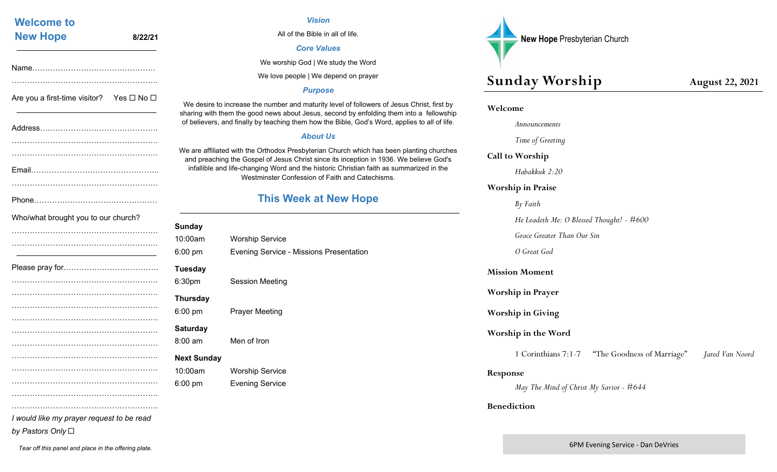| All c                                                                                                                                   |         | <b>Welcome to</b>                                        |
|-----------------------------------------------------------------------------------------------------------------------------------------|---------|----------------------------------------------------------|
|                                                                                                                                         | 8/22/21 | <b>New Hope</b>                                          |
| We worsh                                                                                                                                |         |                                                          |
| We love p                                                                                                                               |         |                                                          |
| We desire to increase the number<br>sharing with them the good news at<br>of believers, and finally by teaching                         |         | Are you a first-time visitor? Yes $\square$ No $\square$ |
| We are affiliated with the Orthodox I<br>and preaching the Gospel of Jesu<br>infallible and life-changing Word<br><b>Westminster Co</b> |         |                                                          |
| <b>This W</b>                                                                                                                           |         |                                                          |
| Sunday                                                                                                                                  |         | Who/what brought you to our church?                      |
| 10:00am                                                                                                                                 |         |                                                          |
| <b>Worship Service</b><br>6:00 pm<br>Evening Service -                                                                                  |         |                                                          |
| <b>Tuesday</b>                                                                                                                          |         |                                                          |
| 6:30pm<br><b>Session Meeting</b>                                                                                                        |         |                                                          |
| <b>Thursday</b>                                                                                                                         |         |                                                          |
| 6:00 pm<br><b>Prayer Meeting</b>                                                                                                        |         |                                                          |
| <b>Saturday</b>                                                                                                                         |         |                                                          |
| Men of Iron<br>$8:00$ am                                                                                                                |         |                                                          |
|                                                                                                                                         |         |                                                          |
|                                                                                                                                         |         |                                                          |
| <b>Next Sunday</b>                                                                                                                      |         |                                                          |
| 10:00am<br><b>Worship Service</b><br>6:00 pm<br><b>Evening Service</b>                                                                  |         |                                                          |

*by Pastors Only*

*Tear off this panel and place in the offering plate.* 

#### *Vision*

All of the Bible in all of life.

#### *Core Values*

We worship God | We study the Word

le love people | We depend on prayer

#### *Purpose*

number and maturity level of followers of Jesus Christ, first by news about Jesus, second by enfolding them into a fellowship teaching them how the Bible, God's Word, applies to all of life.

#### *About Us*

rthodox Presbyterian Church which has been planting churches of Jesus Christ since its inception in 1936. We believe God's ig Word and the historic Christian faith as summarized in the inster Confession of Faith and Catechisms.

## **This Week at New Hope**

| Sunday             |                                                |
|--------------------|------------------------------------------------|
| 10:00am            | <b>Worship Service</b>                         |
| 6:00 pm            | <b>Evening Service - Missions Presentation</b> |
| Tuesday            |                                                |
| 6:30pm             | <b>Session Meeting</b>                         |
| Thursday           |                                                |
| 6:00 pm            | <b>Prayer Meeting</b>                          |
| Saturday           |                                                |
| 8:00 am            | Men of Iron                                    |
| <b>Next Sunday</b> |                                                |
| 10:00am            | <b>Worship Service</b>                         |
| 6:00 pm            | <b>Evening Service</b>                         |
|                    |                                                |



## **Sunday Worship August 22, 2021**

#### **Welcome**

 *Announcements Time of Greeting*  **Call to Worship**  *Habakkuk 2:20*  **Worship in Praise**  *By Faith He Leadeth Me: O Blessed Thought! - #600 Grace Greater Than Our Sin O Great God* **Mission Moment Worship in Prayer Worship in Giving Worship in the Word**  1 Corinthians 7:1-7 "The Goodness of Marriage" *Jared Van Noord* **Response**  *May The Mind of Christ My Savior - #644* 

#### **Benediction**

6PM Evening Service ‐ Dan DeVries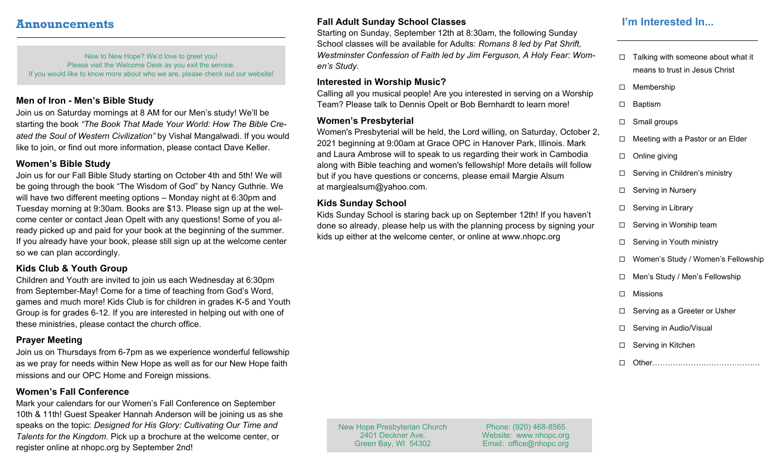## **Announcements**

New to New Hope? We'd love to greet you! Please visit the Welcome Desk as you exit the service. If you would like to know more about who we are, please check out our website!

#### **Men of Iron - Men's Bible Study**

Join us on Saturday mornings at 8 AM for our Men's study! We'll be starting the book *"The Book That Made Your World: How The Bible Created the Soul of Western Civilization"* by Vishal Mangalwadi. If you would like to join, or find out more information, please contact Dave Keller.

#### **Women's Bible Study**

Join us for our Fall Bible Study starting on October 4th and 5th! We will be going through the book "The Wisdom of God" by Nancy Guthrie. We will have two different meeting options – Monday night at 6:30pm and Tuesday morning at 9:30am. Books are \$13. Please sign up at the welcome center or contact Jean Opelt with any questions! Some of you already picked up and paid for your book at the beginning of the summer. If you already have your book, please still sign up at the welcome center so we can plan accordingly.

## **Kids Club & Youth Group**

Children and Youth are invited to join us each Wednesday at 6:30pm from September-May! Come for a time of teaching from God's Word, games and much more! Kids Club is for children in grades K-5 and Youth Group is for grades 6-12. If you are interested in helping out with one of these ministries, please contact the church office.

#### **Prayer Meeting**

Join us on Thursdays from 6-7pm as we experience wonderful fellowship as we pray for needs within New Hope as well as for our New Hope faith missions and our OPC Home and Foreign missions.

#### **Women's Fall Conference**

Mark your calendars for our Women's Fall Conference on September 10th & 11th! Guest Speaker Hannah Anderson will be joining us as she speaks on the topic: *Designed for His Glory: Cultivating Our Time and Talents for the Kingdom.* Pick up a brochure at the welcome center, or register online at nhopc.org by September 2nd!

### **Fall Adult Sunday School Classes**

Starting on Sunday, September 12th at 8:30am, the following Sunday School classes will be available for Adults: *Romans 8 led by Pat Shrift, Westminster Confession of Faith led by Jim Ferguson, A Holy Fear: Women's Study.* 

#### **Interested in Worship Music?**

Calling all you musical people! Are you interested in serving on a Worship Team? Please talk to Dennis Opelt or Bob Bernhardt to learn more!

#### **Women's Presbyterial**

Women's Presbyterial will be held, the Lord willing, on Saturday, October 2, 2021 beginning at 9:00am at Grace OPC in Hanover Park, Illinois. Mark and Laura Ambrose will to speak to us regarding their work in Cambodia along with Bible teaching and women's fellowship! More details will follow but if you have questions or concerns, please email Margie Alsum at margiealsum@yahoo.com.

## **Kids Sunday School**

Kids Sunday School is staring back up on September 12th! If you haven't done so already, please help us with the planning process by signing your kids up either at the welcome center, or online at www.nhopc.org

## **I'm Interested In...**

- $\Box$  Talking with someone about what it means to trust in Jesus Christ
- □ Membership
- □ Baptism
- □ Small groups
- $\Box$  Meeting with a Pastor or an Elder
- $\Box$  Online giving
- □ Serving in Children's ministry
- □ Serving in Nursery
- $\Box$  Serving in Library
- □ Serving in Worship team
- □ Serving in Youth ministry
- Women's Study / Women's Fellowship
- Men's Study / Men's Fellowship
- □ Missions
- □ Serving as a Greeter or Usher
- □ Serving in Audio/Visual
- □ Serving in Kitchen
- □ Other…………………………………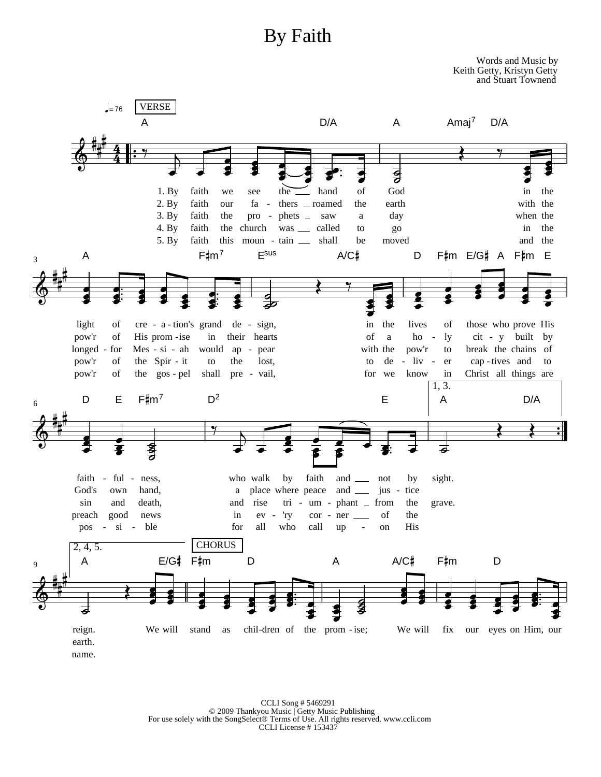# By Faith



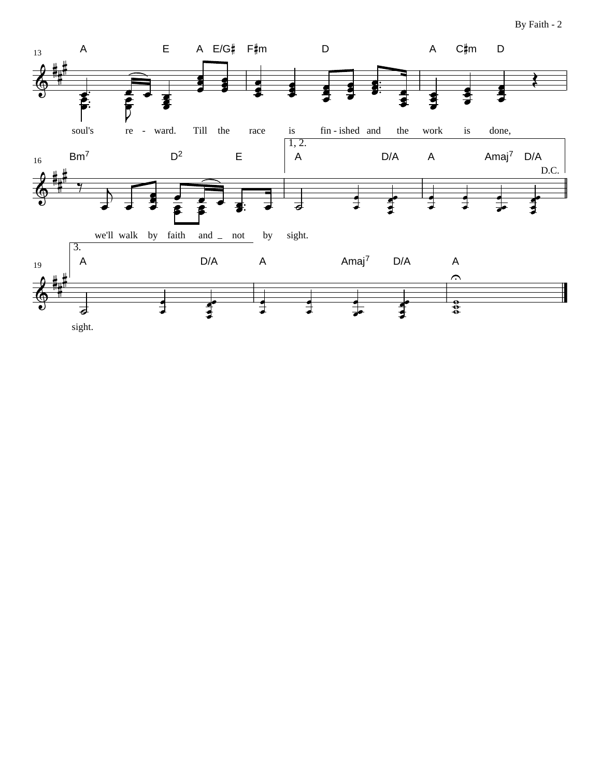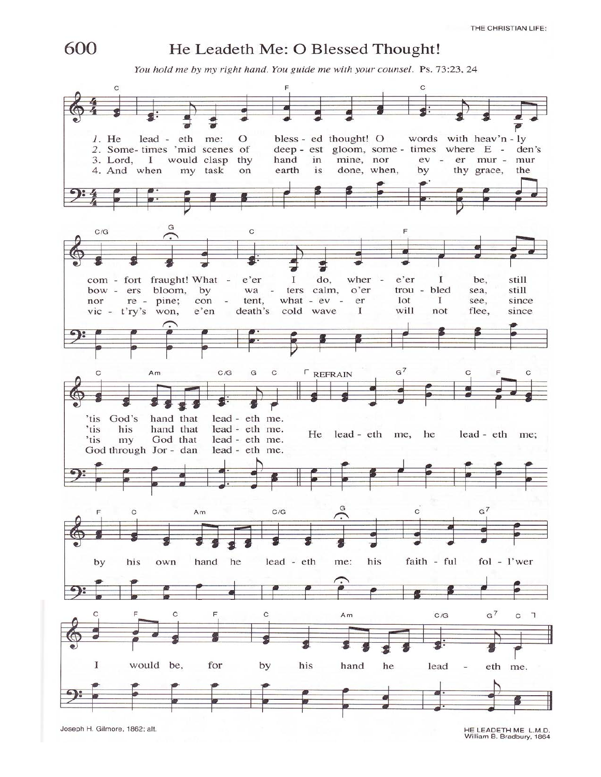

### He Leadeth Me: O Blessed Thought!

You hold me by my right hand. You guide me with your counsel. Ps. 73:23, 24

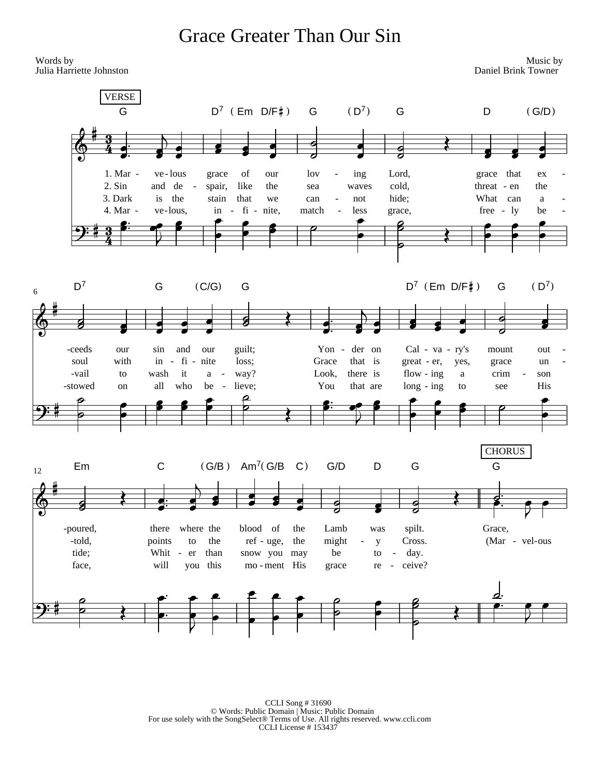## **Grace Greater Than Our Sin**

Words by Music by Julia Harriette Johnston Daniel Brink Towner **VERSE**  $D^7$  (Em  $D/F$ #) Ġ G  $(D^7)$ G D  $(G/D)$ 1. Mar ve-lous of Lord, grace that grace lov ing our ex  $2.$  Sin and de like  $\overline{a}$ spair, the sea waves cold. threat - en the 3. Dark is the stain that hide; What can we can  $\operatorname*{not}% \mathcal{M}(n)$  $\rm{a}$ 4. Mar  $fi$ ve-lous, in nite, less  $free - ly$  $\sim$ match grace, be  $D^7$  $(D^7)$ G  $(C/G)$ G  $D^7$  (Em  $D/F$ #) G  $\sqrt{6}$ -ceeds our sin and our guilt; Yon der on Cal - va - ry's mount  $\overline{a}$ out with  $fi$ Grace soul  $in$ nite loss; that is *,*  $\overline{a}$ grace  $\sim$ yes, un flow -  $ing$ -vail wash it way? Look, there is to  $\rm{a}$  $\overline{\phantom{a}}$  $\mathbf{a}$ crim son  $\overline{\phantom{a}}$ -stowed all who be lieve: You  $long - ing$ <sub>on</sub>  $\overline{a}$ that are to see **His CHORUS**  $\mathsf{C}$  $(G/B)$  Am<sup>7</sup> $(G/B$  C)  $G/D$ D G G Em 12 blood of -poured, there where the the Lamb was spilt. Grace, ref - uge, the might (Mar - vel-ous -told, points to the  $\mathbf{v}$ Cross. Whit tide; than snow you be day.  $\overline{a}$ er may to  $\overline{a}$ will you this mo-ment His ceive? face, grace  $\rm re$  $\overline{\phantom{a}}$ \* \* \* \* \* \*<br><del>\* \* \* \* \*</del><br>| \* \* \* \* \* \* \* <u>d</u>.

 $\begin{tabular}{c} CCLI Song \#31690 \\ \hline \textbf{C}\n CCLI Song \#31690 \\ \textbf{For use solely with the SongSelect@ Terms of Use. All rights reserved.   
www.ccli.com \\ CCLI License \#153437 \\ \end{tabular}$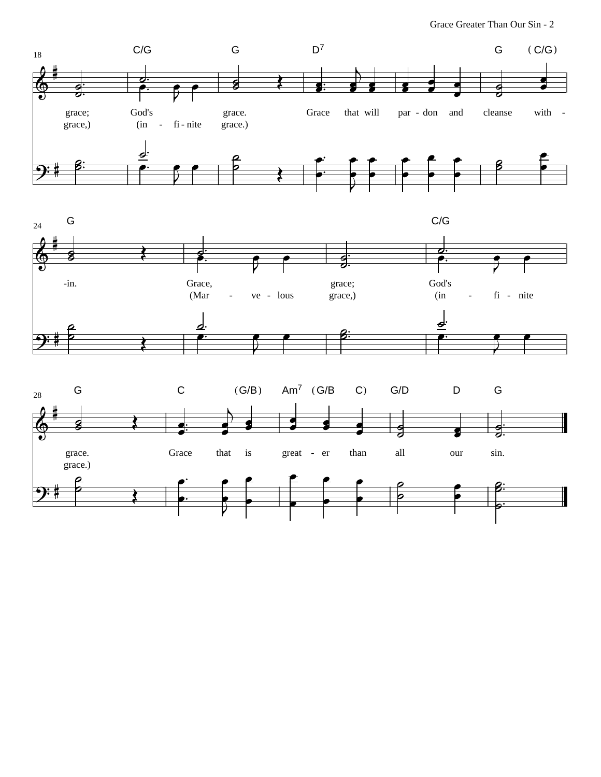Grace Greater Than Our Sin - 2





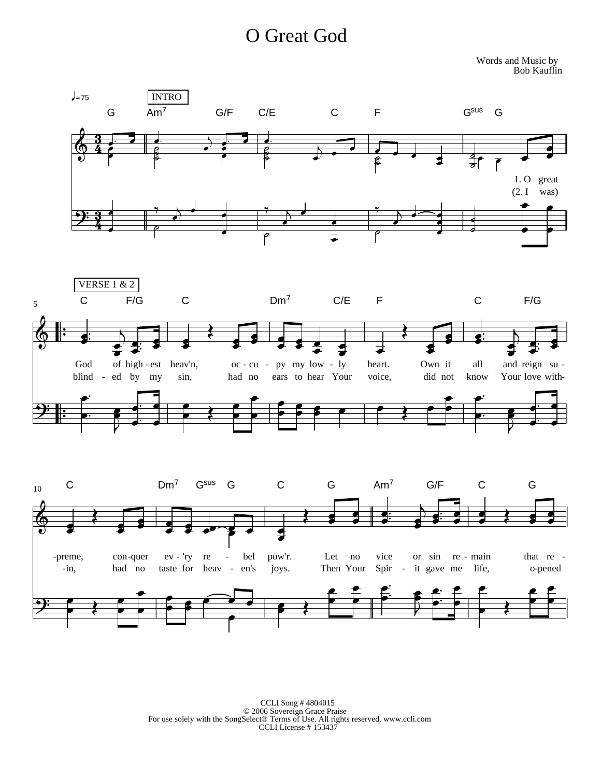# O Great God

Words and Music by Bob Kauflin



 $\begin{tabular}{c} CCLI Song \#4804015 \\ \text{\textcopyright 2006 Sovereign Grace Praise} \\ \text{For use solely with the SongSelect} \\ \text{CCLI License} \# 153437 \\ \end{tabular}$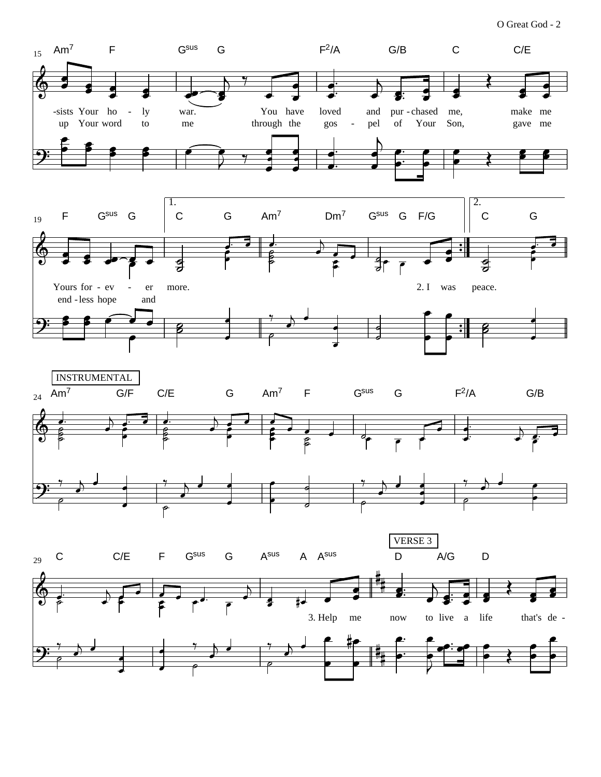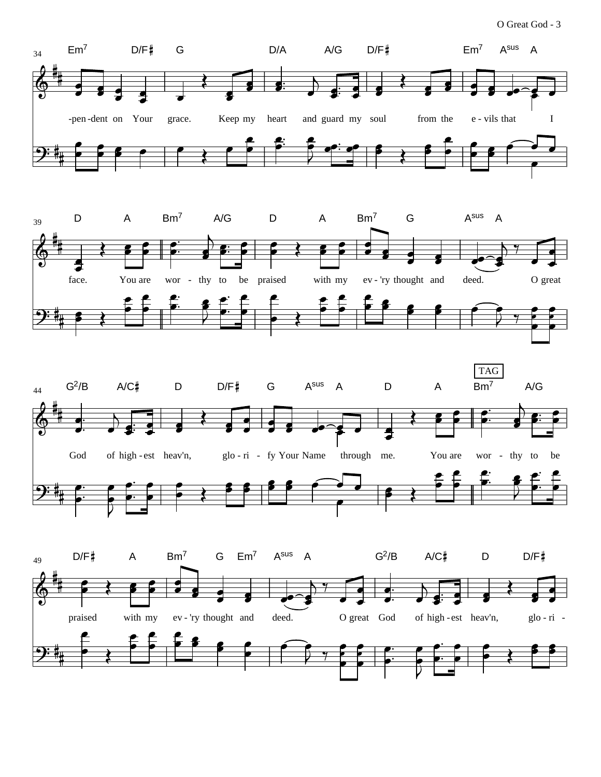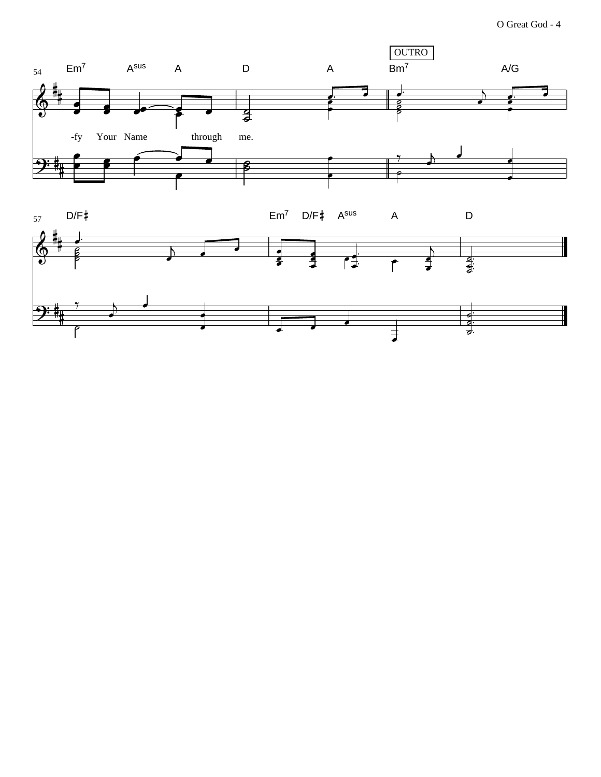